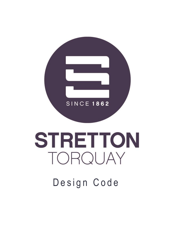

# **STRETTON** TORQUAY

# Design Code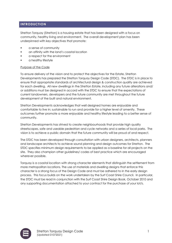# **INTRODUCTION**

Stretton Torquay (Stretton) is a housing estate that has been designed with a focus on community, healthy living and environment. The overall development plan has been underpinned with key objectives that promote:

- a sense of community
- an affinity with the land's coastal location
- a respect for the environment
- a healthy lifestyle

#### Purpose of the Code

To ensure delivery of the vision and to protect the objectives for the Estate, Stretton Developments has prepared the Stretton Torquay Design Code (STDC). The STDC is in place to ensure that appropriate standards of architectural design & construction quality are achieved for each dwelling. All new dwellings in the Stretton Estate, including any future alterations and/ or additions must be designed in accord with the STDC to ensure that the expectations of current landowners, developers and the future community are met throughout the future development of the built and natural environment.

Stretton Developments acknowledges that well designed homes are enjoyable and comfortable to live in; sustainable to run and provide for a higher level of amenity. These outcomes further promote a more enjoyable and healthy lifestyle leading to a better sense of community.

Stretton Developments has strived to create neighbourhoods that provide high quality streetscapes, safe and useable pedestrian and cycle networks and a series of local parks. The vision is to achieve a public domain that the future community will be proud of and respect.

The STDC has been developed through consultation with urban designers, architects, planners and landscape architects to achieve sound planning and design outcomes for Stretton. The STDC specifies minimum design requirements to be applied as a baseline for all projects on the site. They also champion other guidelines/ codes of best practice which are encouraged wherever possible.

Torquay is a coastal location with strong character elements that distinguish the settlement from more metropolitan locations. The use of materials and dwelling designs that enforce this character is a strong focus of the Design Code and must be adhered to in the early design process. This focus builds on the work undertaken by the Surf Coast Shire Council. In particular, the STDC must be read in conjunction with the Surf Coast Shire Design Book, October 2010 and any supporting documentation attached to your contract for the purchase of your lot/s.

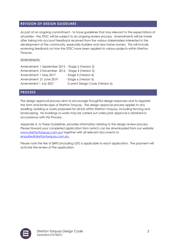# **REVISION OF DESIGN GUIDELINES**

As part of an ongoing commitment - to have guidelines that stay relevant to the expectations of all parties - the STDC will be subject to an ongoing review process. Amendments will be made after taking into account feedback received from the various stakeholders interested in the development of the community, especially builders and new home owners. This will include reviewing feedback on how the STDC have been applied to various projects within Stretton Torquay.

Amendments:

Amendment: 1 September 2015 - Stage 2 (Version 2) Amendment: 2 November 2016 - Stage 4 (Version 3) Amendment: 1 May 2017 - Stage 5 (Version 4) Amendment: 21 June 2019 - Stage 6 (Version 5) Amendment 1 July 2021 Current Design Code (Version 6)

# **PROCESS**

The design approval process aims to encourage thoughtful design responses and to regulate the form and landscape of Stretton Torquay. The design approval process applies to any dwelling, building or works proposed for all lots within Stretton Torquay, including fencing and landscaping. No buildings or works may be carried out unless prior approval is obtained in accordance with this Process.

Appendix A, to these Guidelines, provides information relating to the design review process. Please forward your completed application form (which can be downloaded from our website: [www.strettontorquay.com.au\)](http://www.strettontorquay.com.au/) together with all relevant documents to [enquiries@strettontorquay.com.au.](mailto:enquiries@strettontorquay.com.au)

Please note the fee of \$495 (including GST) is applicable to each application. The payment will activate the review of the application.

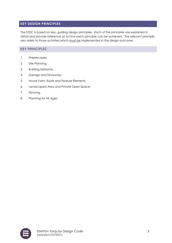# **KEY DESIGN PRINCIPLES**

The STDC is based on key, guiding design principles. Each of the principles are explained in detail and provide reference as to how each principle can be achieved. The relevant principle also refers to those activities which must be implemented in the design outcome.

# KEY PRINCIPLES

- 1. Streetscapes.
- 2. Site Planning.
- 3. Building Setbacks.
- 4. Garage and Driveways.
- 5. House Form, Roofs and Feature Elements.
- 6. Landscaped Area and Private Open Space.
- 7. Fencing.
- 8. Planning for All Ages.

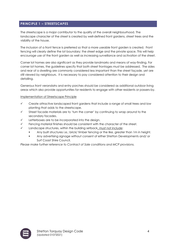# **PRINCIPLE 1 – STREETSCAPES**

The streetscape is a major contributor to the quality of the overall neighbourhood. The landscape character of the street is created by well-defined front gardens, street trees and the visibility of the house.

The inclusion of a front fence is preferred so that a more useable front garden is created. Front fencing will clearly define the lot boundary; the street edge and the private space. This will help encourage use of the front garden as well as increasing surveillance and activation of the street.

Corner lot homes are also significant as they provide landmarks and means of way-finding. For corner lot homes, the guidelines specify that both street frontages must be addressed. The sides and rear of a dwelling are commonly considered less important than the street façade, yet are still viewed by neighbours. It is necessary to pay considered attention to their design and detailing.

Generous front verandahs and entry porches should be considered as additional outdoor living areas which also provide opportunities for residents to engage with other residents or passers-by.

#### Implementation of Streetscape Principle

- ✓ Create attractive landscaped front gardens that include a range of small trees and low planting that adds to the streetscape.
- ✓ Street facade materials are to 'turn the corner' by continuing to wrap around to the secondary facades.
- Letterboxes are to be incorporated into the design.
- Fencing material finishes should be consistent with the character of the street.
- Landscape structures, within the building setback, must not include:
	- Any built structures i.e.; brick/ timber fencing or the like, greater than 1m in height.
	- Any advertising signage without consent of either Stretton Developments and/ or Surf Coast Shire Council.

*Please make further reference to Contract of Sale conditions and MCP provisions.*

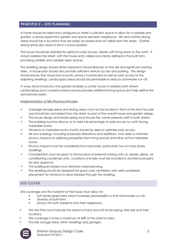# **PRINCIPLE 2 – SITE PLANNING**

A home should be sized and configured so there is sufficient space to allow for a useable rear garden, a landscaped front garden and space between neighbours. Bin and clothes drying areas should be in locations that are easily accessed and not visible from the street. Clothes drying areas also need to be in a sunny position.

The house should be oriented for optimum solar access, ideally with living areas to the north. It should address the street, with the house entry visible and clearly defined in the built form, providing suitable and useable open spaces.

The dwelling design should retain important natural features on the site and significant existing trees. A house plan should also provide sufficient vehicle access and parking. The design should ensure that visual and acoustic privacy is protected as well as solar access to the adjoining dwellings. Landscaped areas should be permeable to reduce stormwater run-off.

A wrap around balcony and garden enables a corner house to address both streets. Landscaping and covered outdoor spaces provide additional living space and help define the semi-private realm.

#### Implementation of Site Planning Principle

- ✓ Garbage storage areas and drying areas must not be located in front of the front facade and should be concealed from the street as part of the overall house and garden design.
- The house design and landscaping must ensure the corner presents well to both streets.
- The building must be sited so as to take full advantage of solar access to north facing, habitable rooms.
- Windows to habitable rooms (north) should be sized to optimise solar access.
- All new buildings, including proposed alterations and additions, must seek to minimise privacy impacts to adjoining properties from living spaces and other active habitable rooms.
- Privacy impacts must be considered from balconies, particularly two or more storey dwellings.
- ✓ Consideration must be given to the location of external roofing units i.e. aerials, dishes, air conditioning condenser units. Locations and sizes must be included in architectural plans for prior approval.
- The building envelope must minimise overshadowing.
- The dwelling should be designed for good cross ventilation with well-considered placement for windows to draw breezes through the dwelling.

# SITE COVER

Site coverage and the footprint of the house must allow for:

- soft landscaped area which increases permeability to limit stormwater run-off;
- diversity of built form;
- **•** privacy for both residents and their neighbours.
- The Site Plan must indicate the extent of hard and soft landscaping, tree size and their locations.
- Site coverage is to be a maximum of 60% of the total lot area.
- Provide storage areas within dwellings and garages.

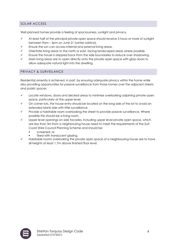# SOLAR ACCESS

Well planned homes provide a feeling of spaciousness, sunlight and privacy.

- ✓ At least half of the principal private open space should receive 3 hours or more of sunlight between 9am – 3pm on June 21 (winter solstice).
- Ensure the sun can access internal and external living areas.
- ✓ Orientate living areas to the north or east, facing landscaped areas where possible.
- Ensure the house is stepped back from the side boundaries to reduce over shadowing.
- Main living areas are to open directly onto the private open space with glass doors to allow adequate natural light into the dwelling.

# PRIVACY & SURVEILANCE

Residential amenity is achieved, in part, by ensuring adequate privacy within the home while also providing opportunities for passive surveillance from those homes over the adjacent streets and public spaces.

- ✓ Locate windows, doors and decked areas to minimise overlooking adjoining private open space, particularly at the upper level.
- On corner lots, the house entry should be located on the long side of the lot to avoid an extended blank side with little surveillance.
- Provide a habitable room overlooking the street to provide passive surveillance. Where possible this should be a living room.
- Upper level openings on side facades, including upper level private open space, which are less than 3m from a neighbouring house need to meet the requirements of the Surf Coast Shire Council Planning Scheme and should be:
	- screened; or,
	- fixed with translucent glazing.
- Habitable rooms overlooking the private open space of a neighbouring house are to have sill heights at least 1.7m above finished floor level.

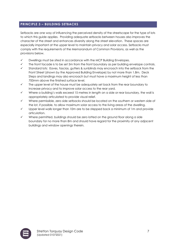# **PRINCIPLE 3 – BUILDING SETBACKS**

Setbacks are one way of influencing the perceived density of the streetscape for the type of lots to which this guide applies. Providing adequate setbacks between houses also improves the character of the street and enhances diversity along the street elevation. These spaces are especially important at the upper level to maintain privacy and solar access. Setbacks must comply with the requirements of the Memorandum of Common Provisions, as well as the provisions below.

- ✓ Dwellings must be sited in accordance with the MCP Building Envelopes.
- The front facade is to be set 5m from the front boundary as per building envelope controls.
- Standard lots: Eaves, fascias, gutters & sunblinds may encroach into the setback from the Front Street (shown by the Approved Building Envelope) by not more than 1.8m. Deck Steps and landings may also encroach but must have a maximum height of less than 700mm above the finished surface level.
- $\checkmark$  The upper level of the house must be adequately set back from the rear boundary to increase privacy and to improve solar access to the rear yard.
- Where a building's walls exceed 15 metres in length on a side or rear boundary, the wall is appropriately articulated to provide visual relief.
- ✓ Where permissible, zero side setbacks should be located on the southern or western side of the lot, if possible, to allow maximum solar access to the living areas of the dwelling.
- $\checkmark$  Upper level walls longer than 10m are to be stepped back a minimum of 1m and provide articulation.
- ✓ Where permitted, buildings should be zero lotted on the ground floor along a side boundary for no more than 8m and should have regard for the proximity of any adjacent buildings and window openings therein.

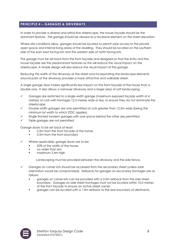# **PRINCIPLE 4 – GARAGES & DRIVEWAYS**

In order to provide a diverse and attractive streetscape, the house façade should be the dominant feature. The garage should be viewed as a recessive element on the street elevation.

Where site conditions allow, garages should be located to permit solar access to the private open space and internal living areas of the dwelling. They should be located on the southern side of the east west facing lots and the western side of north facing lots.

The garage must be set back from the front façade and designed so that the entry and the house façade are the predominant features as this will reduce the visual impact on the streetscape. A simple design will also reduce the visual impact of the garage.

Reducing the width of the driveway at the street and incorporating the landscape elements around parts of the driveway provides a more attractive and walkable street.

A single garage door makes significantly less impact on the front façade of the house than a double one. It also allows a narrower driveway and a larger area of soft landscaping.

- ✓ Garages are restricted to a single width garage (maximum exposed façade width of 4 metres) on Lots with frontages 12.5 metres wide or less, to ensure they do not dominate the streetscape.
- Double width garages are only permitted on Lots greater than 12.5m wide (being the minimum lot width to which STDC applies).
- Single fronted tandem garages with one space behind the other are permitted.
- $\checkmark$  Triple garages are not permitted.

Garage doors to be set back at least:

- 0.5m from the front facade of the home.
- 5.5m from the front boundary.
- Where applicable, garage doors are to be:
	- 50% of the width of the house.
	- no wider than 6m.
	- maximum 2.4m high.

Landscaping must be provided between the driveway and the side fence.

- Garages on corner lots should be accessed from the secondary street (unless solar orientation would be compromised). Setbacks for garages on secondary frontages are as follows:
	- garages on corner lots can be provided with a 2.0m setback from the side street boundary. Garages on side street frontages must not be located within 10.0 metres of the front façade to ensure an active street corner.
	- garages can be located with a 1.0m setback to the rear boundary of allotments.

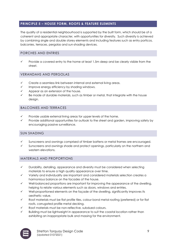# **PRINCIPLE 5 – HOUSE FORM, ROOFS & FEATURE ELEMENTS**

The quality of a residential neighbourhood is supported by the built form, which should be of a coherent and appropriate character, with opportunities for diversity. Such diversity is achieved by combining single and double storey elements and including features such as entry porticos, balconies, terraces, pergolas and sun-shading devices.

# PORCHES AND ENTRIES

Provide a covered entry to the home at least 1.5m deep and be clearly visible from the street.

# VERANDAHS AND PERGOLAS

- Create a seamless link between internal and external living areas.
- Improve energy efficiency by shading windows.
- $\checkmark$  Appear as an extension of the house.
- Be made of durable materials, such as timber or metal, that integrate with the house design.

# BALCONIES AND TERRACES

- Provide usable external living areas for upper levels of the home.
- Provide additional opportunities for outlook to the street and garden, improving safety by encouraging passive surveillance.

# SUN SHADING

- Sunscreens and awnings comprised of timber battens or metal frames are encouraged.
- Sunscreens and awnings shade and protect openings, particularly on the northern and western elevations.

# MATERIALS AND PROPORTIONS

- ✓ Durability, detailing, appearance and diversity must be considered when selecting materials to ensure a high quality appearance over time.
- ✓ Variety and individuality are important and considered materials selection creates a harmonious balance on the facades of the house.
- ✓ Well-balanced proportions are important for improving the appearance of the dwelling, helping to relate various elements such as doors, windows and entries.
- Well-proportioned elements on the façade of the dwelling, significantly improves its aesthetic value.
- ✓ Roof materials must be flat profile tiles, colour bond metal roofing (preferred) or for flat roofs, corrugated profile metal decking.
- Roof materials must be non-reflective, subdued colours.
- Building must be lightweight in appearance to suit the coastal location rather than exhibiting an inappropriate bulk and massing for the environment.

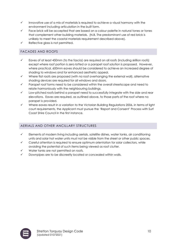- $\checkmark$  Innovative use of a mix of materials is required to achieve a visual harmony with the environment including articulation in the built form.
- Face brick will be accepted that are based on a colour palette in natural tones or tones that complement other building materials. (N.B. The predominant use of red brick is unlikely to meet the coastal materials requirement described above).
- Reflective glass is not permitted.

# FACADES AND ROOFS

- ✓ Eaves of at least 450mm (to the fascia) are required on all roofs (including skillion roofs) except where roof portion is zero lotted or a parapet roof solution is proposed. However, where practical, 600mm eaves should be considered to achieve an increased degree of shading to windows and for enhanced aesthetic appeal.
- Where flat roofs are proposed (with no roof overhanging the external wall), alternative shading devices are required for all windows and doors.
- Parapet roof forms need to be considered within the overall streetscape and need to relate harmoniously with the neighbouring buildings.
- Low-pitched roofs behind a parapet need to successfully integrate with the side and rear elevations. Eaves are required, as outlined above, to those parts of the roof where no parapet is provided.
- Where eaves result in a variation to the Victorian Building Regulations 2006, in terms of light court requirements, the Applicant must pursue the 'Report and Consent' Process with Surf Coast Shire Council in the first instance.

# AERIALS AND OTHER ANCILLARY STRUCTURES

- ✓ Elements of modern living including aerials, satellite dishes, water tanks, air conditioning units and solar hot water units must not be visible from the street or other public spaces.
- Careful attention is required to ensure optimum orientation for solar collectors, while avoiding the potential of such items being viewed as roof clutter.
- Water tanks are not permitted on roofs.
- Downpipes are to be discreetly located or concealed within walls.

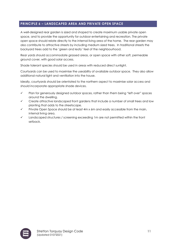# **PRINCIPLE 6 – LANDSCAPED AREA AND PRIVATE OPEN SPACE**

A well-designed rear garden is sized and shaped to create maximum usable private open space, and to provide the opportunity for outdoor entertaining and recreation. The private open space should relate directly to the internal living area of the home. The rear garden may also contribute to attractive streets by including medium sized trees. In traditional streets the backyard trees add to the 'green and leafy' feel of the neighbourhood.

Rear yards should accommodate grassed areas, or open space with other soft, permeable ground cover, with good solar access.

Shade tolerant species should be used in areas with reduced direct sunlight.

Courtyards can be used to maximise the useability of available outdoor space. They also allow additional natural light and ventilation into the house.

Ideally, courtyards should be orientated to the northern aspect to maximise solar access and should incorporate appropriate shade devices.

- ✓ Plan for generously designed outdoor spaces, rather than them being "left over" spaces around the dwelling.
- ✓ Create attractive landscaped front gardens that include a number of small trees and low planting that adds to the streetscape.
- Private Open Space should be at least 4m x 6m and easily accessible from the main, internal living area.
- ✓ Landscaped structures / screening exceeding 1m are not permitted within the front setback.

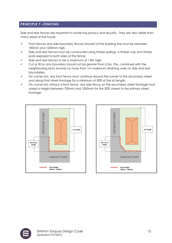# **PRINCIPLE 7 –FENCING**

Side and rear fences are important in achieving privacy and security. They are also visible from many areas of the house.

- ✓ Front fences and side boundary fences forward of the building line must be between 700mm and 1000mm high.
- ✓ Side and rear fences must be constructed using timber palings, a timber cap and timber posts exposed to both sides of the fence.
- Side and rear fences to be a maximum of 1.8m high.
- Cut or fill on any boundary should not be greater than 0.5m. This, combined with the neighbouring land, ensures no more than 1m maximum retaining walls on side and rear boundaries.
- ✓ On corner lots, any front fence must continue around the corner to the secondary street and along that street frontage for a minimum of 30% of the lot length.
- ✓ On corner lots without a front fence, any side fence on the secondary street frontage must adopt a height between 700mm and 1000mm for the 30% closest to the primary street frontage.





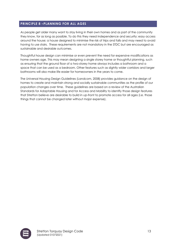# **PRINCIPLE 8 –PLANNING FOR ALL AGES**

As people get older many want to stay living in their own homes and as part of the community they know, for as long as possible. To do this they need independence and security; easy access around the house; a house designed to minimise the risk of trips and falls and may need to avoid having to use stairs. These requirements are not mandatory in the STDC but are encouraged as sustainable and desirable outcomes.

Thoughtful house design can minimise or even prevent the need for expensive modifications as home owners age. This may mean designing a single storey home or thoughtful planning, such as ensuring that the ground floor of a two-storey home always includes a bathroom and a space that can be used as a bedroom. Other features such as slightly wider corridors and larger bathrooms will also make life easier for homeowners in the years to come.

The Universal Housing Design Guidelines (Landcom, 2008) provides guidance on the design of homes to create and maintain strong and socially sustainable communities as the profile of our population changes over time. These guidelines are based on a review of the Australian Standards for Adaptable Housing and for Access and Mobility to identify those design features that Stretton believe are desirable to build in up-front to promote access for all ages (i.e. those things that cannot be changed later without major expense).

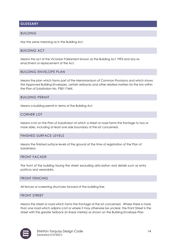# **GLOSSARY**

#### BUILDING

Has the same meaning as in the Building Act.

#### BUILDING ACT

Means the act of the Victorian Parliament known as the Building Act 1993 and any reenactment or replacement of the Act.

#### BUILDING ENVELOPE PLAN

Means the plan which forms part of the Memorandum of Common Provisions and which shows the Approved Building Envelopes, certain setbacks and other related matters for the lots within the Plan of Subdivision No. PS811746X.

#### BUILDING PERMIT

Means a building permit in terms of the Building Act.

#### CORNER LOT

Means a lot on the Plan of Subdivision of which a street or road forms the frontage to two or more sides, including at least one side boundary of the lot concerned.

#### FINISHED SURFACE LEVELS

Means the finished surface levels of the ground at the time of registration of the Plan of Subdivision.

#### FRONT FACADE

The front of the building facing the street excluding articulation and details such as entry porticos and verandahs.

#### FRONT FENCING

All fences or screening structures forward of the building line.

#### FRONT STREET

Means the street or road which forms the frontage of the lot concerned. Where there is more than one road which adjoins a lot or where it may otherwise be unclear, the Front Street is the street with the greater Setback (in linear metres) as shown on the Building Envelope Plan.

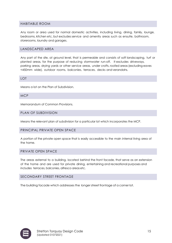# HABITABLE ROOM

Any room or area used for normal domestic activities, including living, dining, family, lounge, bedrooms, kitchen etc, but excludes service and amenity areas such as ensuite, bathroom, storerooms, laundry and garages.

#### LANDSCAPED AREA

Any part of the site, at ground level, that is permeable and consists of soft landscaping, turf or planted areas, for the purpose of reducing stormwater run-off. It excludes driveways, parking areas, drying yards or other service areas, under crofts, roofed areas (excluding eaves <450mm wide), outdoor rooms, balconies, terraces, decks andverandahs.

LOT

Means a lot on the Plan of Subdivision.

MCP

Memorandum of Common Provisions.

#### PLAN OF SUBDIVISION

Means the relevant plan of subdivision for a particular lot which incorporates the MCP.

#### PRINCIPAL PRIVATE OPEN SPACE

A portion of the private open space that is easily accessible to the main internal living area of the home.

#### PRIVATE OPEN SPACE

The areas external to a building, located behind the front facade, that serve as an extension of the home and are used for private dining, entertaining and recreational purposes and includes terraces, balconies, alfresco areas etc.

#### SECONDARY STREET FRONTAGE

The building facade which addresses the longerstreet frontage of a corner lot.

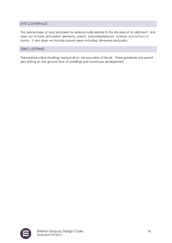# SITE COVERAGE

The percentage of land enclosed by external walls relative to the site area of an allotment, and does not include articulation elements, porch/ balconies/terraces, outdoor and alfresco rooms. It also does not include paved areas including driveways and paths.

# ZERO LOTTING

The external wall of dwellings being built on the boundary of the lot. These guidelines only permit zero lotting on the ground floor of dwellings and townhouse development.

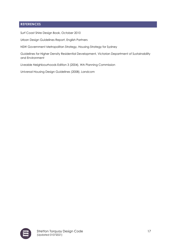# **REFERENCES**

Surf Coast Shire Design Book, October 2010

Urban Design Guidelines Report, English Partners

NSW Government Metropolitan Strategy, Housing Strategy for Sydney

Guidelines for Higher Density Residential Development, Victorian Department of Sustainability and Environment

Liveable Neighbourhoods Edition 3 (2004), WA Planning Commission

Universal Housing Design Guidelines (2008), Landcom

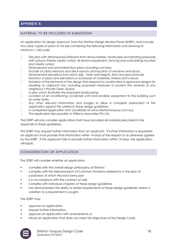# **APPENDIX A**

#### MATERIAL TO BE INCLUDED IN SUBMISSION

An application for design approval, from the Stretton Design Review Panel (SDRP), must include two clear copies of plans at A3 size containing the following information and drawing at minimum 1:100 scale:

- *Site plan with dimensioned Setbacks from all boundaries, landscape and planting proposals with surface finishes clearly noted, all service equipment, fencing and outbuildings located and clearly noted.*
- *Dimensioned and annotated floor plans including roof plan.*
- *Include on plans terraces and deck layouts and location of windows and doors.*
- *Dimensioned elevations from each side. Note wall heights, floor and ground levels.*
- *Notation of plans and elevations or schedules of materials, finishes and colours.*
- *Notation of the elements of the design that respond to constructed or approved designs for dwelling on adjacent lots, including proposed measures to protect the amenity of any neighbour's Private Open Space.*
- *A plan which illustrates the proposed landscaping.*
- *Location of air conditioning condenser units and ancillary equipment to the building such as water tanks.*
- *Any other relevant information and images to allow a complete assessment of the application against the criteria in these design guidelines.*
- *A completed application form (available at www.strettontorquay.com.au).*
- *The application fee payable to Willana Associates Pty Ltd.*

The SDRP will only consider applications that have provided all material prescribed in the Appendix to these guidelines.

The SDRP may request further information from an applicant. If further information is requested, an applicant must provide that information within 14 days of the request or as otherwise agreed by the SDRP. If the applicant fails to provide further information within 14 days, the application will lapse.

# CONSIDERATION OF APPLICATION

The SDRP will consider whether an application:

- complies with the overall design philosophy of Stretton
- complies with the Memorandum of Common Provisions referred to in the plan of subdivision of which the land forms part
- is in accordance with the contract of sale
- complies with individual chapters of these design guidelines
- has demonstrated the ability to better requirements of these design guidelines where a variation to a requirement is sought.

The SDRP may;

- approve an application;
- request further information;
- approve an application with amendments or;
- refuse an application that does not meet the objectives of the Design Code.